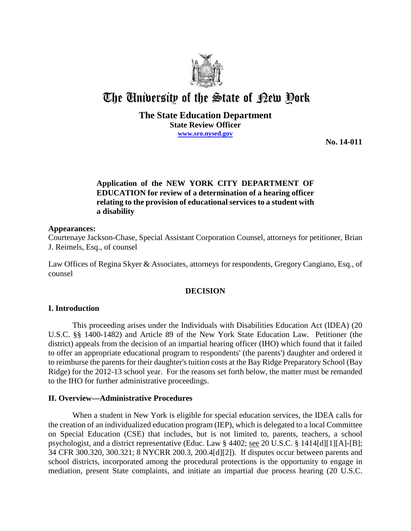

# The University of the State of Pew Pork

## **The State Education Department State Review Officer www.sro.nysed.gov**

**No. 14-011** 

# **Application of the NEW YORK CITY DEPARTMENT OF EDUCATION for review of a determination of a hearing officer relating to the provision of educational services to a student with a disability**

## **Appearances:**

Courtenaye Jackson-Chase, Special Assistant Corporation Counsel, attorneys for petitioner, Brian J. Reimels, Esq., of counsel

Law Offices of Regina Skyer & Associates, attorneys for respondents, Gregory Cangiano, Esq., of counsel

## **DECISION**

## **I. Introduction**

This proceeding arises under the Individuals with Disabilities Education Act (IDEA) (20 U.S.C. §§ 1400-1482) and Article 89 of the New York State Education Law. Petitioner (the district) appeals from the decision of an impartial hearing officer (IHO) which found that it failed to offer an appropriate educational program to respondents' (the parents') daughter and ordered it to reimburse the parents for their daughter's tuition costs at the Bay Ridge Preparatory School (Bay Ridge) for the 2012-13 school year. For the reasons set forth below, the matter must be remanded to the IHO for further administrative proceedings.

## **II. Overview—Administrative Procedures**

When a student in New York is eligible for special education services, the IDEA calls for the creation of an individualized education program (IEP), which is delegated to a local Committee on Special Education (CSE) that includes, but is not limited to, parents, teachers, a school psychologist, and a district representative (Educ. Law § 4402; see 20 U.S.C. § 1414[d][1][A]-[B]; 34 CFR 300.320, 300.321; 8 NYCRR 200.3, 200.4[d][2]). If disputes occur between parents and school districts, incorporated among the procedural protections is the opportunity to engage in mediation, present State complaints, and initiate an impartial due process hearing (20 U.S.C.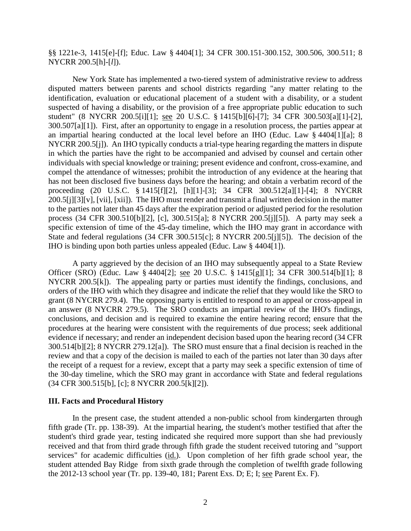# §§ 1221e-3, 1415[e]-[f]; Educ. Law § 4404[1]; 34 CFR 300.151-300.152, 300.506, 300.511; 8 NYCRR 200.5[h]-[*l*]).

New York State has implemented a two-tiered system of administrative review to address disputed matters between parents and school districts regarding "any matter relating to the identification, evaluation or educational placement of a student with a disability, or a student suspected of having a disability, or the provision of a free appropriate public education to such student" (8 NYCRR 200.5[i][1]; see 20 U.S.C. § 1415[b][6]-[7]; 34 CFR 300.503[a][1]-[2], 300.507[a][1]). First, after an opportunity to engage in a resolution process, the parties appear at an impartial hearing conducted at the local level before an IHO (Educ. Law § 4404[1][a]; 8 NYCRR 200.5[j]). An IHO typically conducts a trial-type hearing regarding the matters in dispute in which the parties have the right to be accompanied and advised by counsel and certain other individuals with special knowledge or training; present evidence and confront, cross-examine, and compel the attendance of witnesses; prohibit the introduction of any evidence at the hearing that has not been disclosed five business days before the hearing; and obtain a verbatim record of the proceeding (20 U.S.C. § 1415[f][2], [h][1]-[3]; 34 CFR 300.512[a][1]-[4]; 8 NYCRR 200.5[j][3][v], [vii], [xii]). The IHO must render and transmit a final written decision in the matter to the parties not later than 45 days after the expiration period or adjusted period for the resolution process (34 CFR 300.510[b][2], [c], 300.515[a]; 8 NYCRR 200.5[j][5]). A party may seek a specific extension of time of the 45-day timeline, which the IHO may grant in accordance with State and federal regulations (34 CFR 300.515[c]; 8 NYCRR 200.5[j][5]). The decision of the IHO is binding upon both parties unless appealed (Educ. Law § 4404[1]).

A party aggrieved by the decision of an IHO may subsequently appeal to a State Review Officer (SRO) (Educ. Law § 4404[2]; see 20 U.S.C. § 1415[g][1]; 34 CFR 300.514[b][1]; 8 NYCRR 200.5[k]). The appealing party or parties must identify the findings, conclusions, and orders of the IHO with which they disagree and indicate the relief that they would like the SRO to grant (8 NYCRR 279.4). The opposing party is entitled to respond to an appeal or cross-appeal in an answer (8 NYCRR 279.5). The SRO conducts an impartial review of the IHO's findings, conclusions, and decision and is required to examine the entire hearing record; ensure that the procedures at the hearing were consistent with the requirements of due process; seek additional evidence if necessary; and render an independent decision based upon the hearing record (34 CFR 300.514[b][2]; 8 NYCRR 279.12[a]). The SRO must ensure that a final decision is reached in the review and that a copy of the decision is mailed to each of the parties not later than 30 days after the receipt of a request for a review, except that a party may seek a specific extension of time of the 30-day timeline, which the SRO may grant in accordance with State and federal regulations (34 CFR 300.515[b], [c]; 8 NYCRR 200.5[k][2]).

#### **III. Facts and Procedural History**

In the present case, the student attended a non-public school from kindergarten through fifth grade (Tr. pp. 138-39). At the impartial hearing, the student's mother testified that after the student's third grade year, testing indicated she required more support than she had previously received and that from third grade through fifth grade the student received tutoring and "support services" for academic difficulties (id.). Upon completion of her fifth grade school year, the student attended Bay Ridge from sixth grade through the completion of twelfth grade following the 2012-13 school year (Tr. pp. 139-40, 181; Parent Exs. D; E; I; see Parent Ex. F).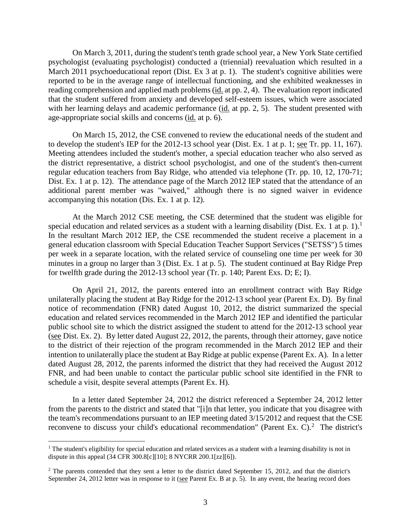On March 3, 2011, during the student's tenth grade school year, a New York State certified psychologist (evaluating psychologist) conducted a (triennial) reevaluation which resulted in a March 2011 psychoeducational report (Dist. Ex 3 at p. 1). The student's cognitive abilities were reported to be in the average range of intellectual functioning, and she exhibited weaknesses in reading comprehension and applied math problems (id. at pp. 2, 4). The evaluation report indicated that the student suffered from anxiety and developed self-esteem issues, which were associated with her learning delays and academic performance (id. at pp. 2, 5). The student presented with age-appropriate social skills and concerns (id. at p. 6).

On March 15, 2012, the CSE convened to review the educational needs of the student and to develop the student's IEP for the 2012-13 school year (Dist. Ex. 1 at p. 1; see Tr. pp. 11, 167). Meeting attendees included the student's mother, a special education teacher who also served as the district representative, a district school psychologist, and one of the student's then-current regular education teachers from Bay Ridge, who attended via telephone (Tr. pp. 10, 12, 170-71; Dist. Ex. 1 at p. 12). The attendance page of the March 2012 IEP stated that the attendance of an additional parent member was "waived," although there is no signed waiver in evidence accompanying this notation (Dis. Ex. 1 at p. 12).

At the March 2012 CSE meeting, the CSE determined that the student was eligible for special education and related services as a student with a learning disability (Dist. Ex. 1 at p. 1).<sup>1</sup> In the resultant March 2012 IEP, the CSE recommended the student receive a placement in a general education classroom with Special Education Teacher Support Services ("SETSS") 5 times per week in a separate location, with the related service of counseling one time per week for 30 minutes in a group no larger than 3 (Dist. Ex. 1 at p. 5). The student continued at Bay Ridge Prep for twelfth grade during the 2012-13 school year (Tr. p. 140; Parent Exs. D; E; I).

On April 21, 2012, the parents entered into an enrollment contract with Bay Ridge unilaterally placing the student at Bay Ridge for the 2012-13 school year (Parent Ex. D). By final notice of recommendation (FNR) dated August 10, 2012, the district summarized the special education and related services recommended in the March 2012 IEP and identified the particular public school site to which the district assigned the student to attend for the 2012-13 school year (see Dist. Ex. 2). By letter dated August 22, 2012, the parents, through their attorney, gave notice to the district of their rejection of the program recommended in the March 2012 IEP and their intention to unilaterally place the student at Bay Ridge at public expense (Parent Ex. A). In a letter dated August 28, 2012, the parents informed the district that they had received the August 2012 FNR, and had been unable to contact the particular public school site identified in the FNR to schedule a visit, despite several attempts (Parent Ex. H).

In a letter dated September 24, 2012 the district referenced a September 24, 2012 letter from the parents to the district and stated that "[i]n that letter, you indicate that you disagree with the team's recommendations pursuant to an IEP meeting dated 3/15/2012 and request that the CSE reconvene to discuss your child's educational recommendation" (Parent Ex. C). $^2$  The district's

<sup>&</sup>lt;sup>1</sup> The student's eligibility for special education and related services as a student with a learning disability is not in dispute in this appeal (34 CFR 300.8[c][10]; 8 NYCRR 200.1[zz][6]).

 $2$  The parents contended that they sent a letter to the district dated September 15, 2012, and that the district's September 24, 2012 letter was in response to it (see Parent Ex. B at p. 5). In any event, the hearing record does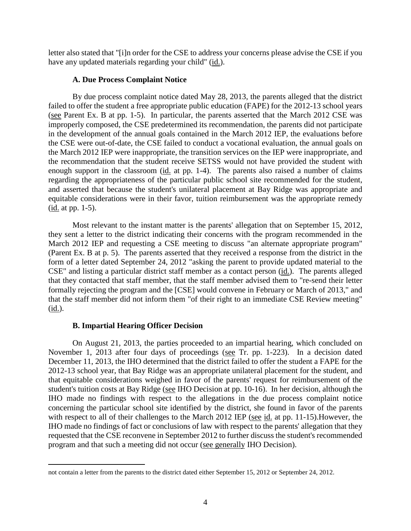letter also stated that "[i]n order for the CSE to address your concerns please advise the CSE if you have any updated materials regarding your child" (id.).

## **A. Due Process Complaint Notice**

By due process complaint notice dated May 28, 2013, the parents alleged that the district failed to offer the student a free appropriate public education (FAPE) for the 2012-13 school years (see Parent Ex. B at pp. 1-5). In particular, the parents asserted that the March 2012 CSE was improperly composed, the CSE predetermined its recommendation, the parents did not participate in the development of the annual goals contained in the March 2012 IEP, the evaluations before the CSE were out-of-date, the CSE failed to conduct a vocational evaluation, the annual goals on the March 2012 IEP were inappropriate, the transition services on the IEP were inappropriate, and the recommendation that the student receive SETSS would not have provided the student with enough support in the classroom (id. at pp. 1-4). The parents also raised a number of claims regarding the appropriateness of the particular public school site recommended for the student, and asserted that because the student's unilateral placement at Bay Ridge was appropriate and equitable considerations were in their favor, tuition reimbursement was the appropriate remedy (id. at pp. 1-5).

Most relevant to the instant matter is the parents' allegation that on September 15, 2012, they sent a letter to the district indicating their concerns with the program recommended in the March 2012 IEP and requesting a CSE meeting to discuss "an alternate appropriate program" (Parent Ex. B at p. 5). The parents asserted that they received a response from the district in the form of a letter dated September 24, 2012 "asking the parent to provide updated material to the CSE" and listing a particular district staff member as a contact person (id.). The parents alleged that they contacted that staff member, that the staff member advised them to "re-send their letter formally rejecting the program and the [CSE] would convene in February or March of 2013," and that the staff member did not inform them "of their right to an immediate CSE Review meeting" (id.).

## **B. Impartial Hearing Officer Decision**

 $\overline{a}$ 

On August 21, 2013, the parties proceeded to an impartial hearing, which concluded on November 1, 2013 after four days of proceedings (see Tr. pp. 1-223). In a decision dated December 11, 2013, the IHO determined that the district failed to offer the student a FAPE for the 2012-13 school year, that Bay Ridge was an appropriate unilateral placement for the student, and that equitable considerations weighed in favor of the parents' request for reimbursement of the student's tuition costs at Bay Ridge (see IHO Decision at pp. 10-16). In her decision, although the IHO made no findings with respect to the allegations in the due process complaint notice concerning the particular school site identified by the district, she found in favor of the parents with respect to all of their challenges to the March 2012 IEP (see id. at pp. 11-15).However, the IHO made no findings of fact or conclusions of law with respect to the parents' allegation that they requested that the CSE reconvene in September 2012 to further discuss the student's recommended program and that such a meeting did not occur (see generally IHO Decision).

not contain a letter from the parents to the district dated either September 15, 2012 or September 24, 2012.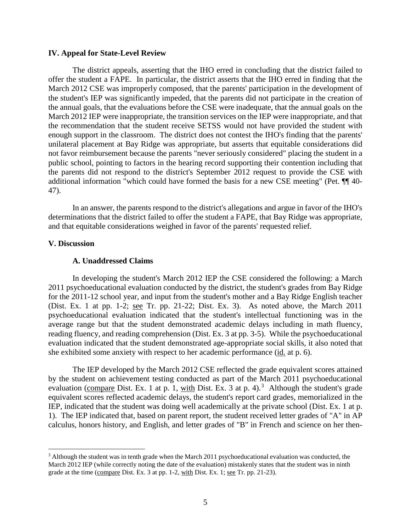## **IV. Appeal for State-Level Review**

The district appeals, asserting that the IHO erred in concluding that the district failed to offer the student a FAPE. In particular, the district asserts that the IHO erred in finding that the March 2012 CSE was improperly composed, that the parents' participation in the development of the student's IEP was significantly impeded, that the parents did not participate in the creation of the annual goals, that the evaluations before the CSE were inadequate, that the annual goals on the March 2012 IEP were inappropriate, the transition services on the IEP were inappropriate, and that the recommendation that the student receive SETSS would not have provided the student with enough support in the classroom. The district does not contest the IHO's finding that the parents' unilateral placement at Bay Ridge was appropriate, but asserts that equitable considerations did not favor reimbursement because the parents "never seriously considered" placing the student in a public school, pointing to factors in the hearing record supporting their contention including that the parents did not respond to the district's September 2012 request to provide the CSE with additional information "which could have formed the basis for a new CSE meeting" (Pet. ¶¶ 40- 47).

In an answer, the parents respond to the district's allegations and argue in favor of the IHO's determinations that the district failed to offer the student a FAPE, that Bay Ridge was appropriate, and that equitable considerations weighed in favor of the parents' requested relief.

## **V. Discussion**

#### **A. Unaddressed Claims**

In developing the student's March 2012 IEP the CSE considered the following: a March 2011 psychoeducational evaluation conducted by the district, the student's grades from Bay Ridge for the 2011-12 school year, and input from the student's mother and a Bay Ridge English teacher (Dist. Ex. 1 at pp. 1-2; see Tr. pp. 21-22; Dist. Ex. 3). As noted above, the March 2011 psychoeducational evaluation indicated that the student's intellectual functioning was in the average range but that the student demonstrated academic delays including in math fluency, reading fluency, and reading comprehension (Dist. Ex. 3 at pp. 3-5). While the psychoeducational evaluation indicated that the student demonstrated age-appropriate social skills, it also noted that she exhibited some anxiety with respect to her academic performance (id. at p. 6).

The IEP developed by the March 2012 CSE reflected the grade equivalent scores attained by the student on achievement testing conducted as part of the March 2011 psychoeducational evaluation (compare Dist. Ex. 1 at p. 1, with Dist. Ex. 3 at p. 4).<sup>3</sup> Although the student's grade equivalent scores reflected academic delays, the student's report card grades, memorialized in the IEP, indicated that the student was doing well academically at the private school (Dist. Ex. 1 at p. 1). The IEP indicated that, based on parent report, the student received letter grades of "A" in AP calculus, honors history, and English, and letter grades of "B" in French and science on her then-

<sup>&</sup>lt;sup>3</sup> Although the student was in tenth grade when the March 2011 psychoeducational evaluation was conducted, the March 2012 IEP (while correctly noting the date of the evaluation) mistakenly states that the student was in ninth grade at the time (compare Dist. Ex. 3 at pp. 1-2, with Dist. Ex. 1; see Tr. pp. 21-23).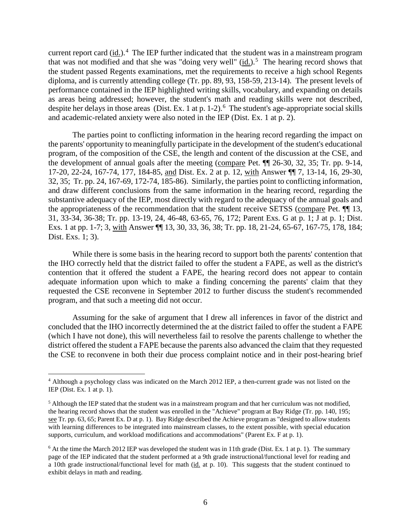current report card  $(id.)$ .<sup>4</sup> The IEP further indicated that the student was in a mainstream program that was not modified and that she was "doing very well"  $(id.)$ .<sup>5</sup> The hearing record shows that the student passed Regents examinations, met the requirements to receive a high school Regents diploma, and is currently attending college (Tr. pp. 89, 93, 158-59, 213-14). The present levels of performance contained in the IEP highlighted writing skills, vocabulary, and expanding on details as areas being addressed; however, the student's math and reading skills were not described, despite her delays in those areas (Dist. Ex. 1 at p. 1-2).<sup>6</sup> The student's age-appropriate social skills and academic-related anxiety were also noted in the IEP (Dist. Ex. 1 at p. 2).

The parties point to conflicting information in the hearing record regarding the impact on the parents' opportunity to meaningfully participate in the development of the student's educational program, of the composition of the CSE, the length and content of the discussion at the CSE, and the development of annual goals after the meeting (compare Pet. ¶¶ 26-30, 32, 35; Tr. pp. 9-14, 17-20, 22-24, 167-74, 177, 184-85, and Dist. Ex. 2 at p. 12, with Answer ¶¶ 7, 13-14, 16, 29-30, 32, 35; Tr. pp. 24, 167-69, 172-74, 185-86). Similarly, the parties point to conflicting information, and draw different conclusions from the same information in the hearing record, regarding the substantive adequacy of the IEP, most directly with regard to the adequacy of the annual goals and the appropriateness of the recommendation that the student receive SETSS (compare Pet. ¶¶ 13, 31, 33-34, 36-38; Tr. pp. 13-19, 24, 46-48, 63-65, 76, 172; Parent Exs. G at p. 1; J at p. 1; Dist. Exs. 1 at pp. 1-7; 3, with Answer ¶¶ 13, 30, 33, 36, 38; Tr. pp. 18, 21-24, 65-67, 167-75, 178, 184; Dist. Exs. 1; 3).

While there is some basis in the hearing record to support both the parents' contention that the IHO correctly held that the district failed to offer the student a FAPE, as well as the district's contention that it offered the student a FAPE, the hearing record does not appear to contain adequate information upon which to make a finding concerning the parents' claim that they requested the CSE reconvene in September 2012 to further discuss the student's recommended program, and that such a meeting did not occur.

Assuming for the sake of argument that I drew all inferences in favor of the district and concluded that the IHO incorrectly determined the at the district failed to offer the student a FAPE (which I have not done), this will nevertheless fail to resolve the parents challenge to whether the district offered the student a FAPE because the parents also advanced the claim that they requested the CSE to reconvene in both their due process complaint notice and in their post-hearing brief

 <sup>4</sup> Although a psychology class was indicated on the March 2012 IEP, a then-current grade was not listed on the IEP (Dist. Ex. 1 at p. 1).

 $<sup>5</sup>$  Although the IEP stated that the student was in a mainstream program and that her curriculum was not modified,</sup> the hearing record shows that the student was enrolled in the "Achieve" program at Bay Ridge (Tr. pp. 140, 195; see Tr. pp. 63, 65; Parent Ex. D at p. 1). Bay Ridge described the Achieve program as "designed to allow students with learning differences to be integrated into mainstream classes, to the extent possible, with special education supports, curriculum, and workload modifications and accommodations" (Parent Ex. F at p. 1).

 $6$  At the time the March 2012 IEP was developed the student was in 11th grade (Dist. Ex. 1 at p. 1). The summary page of the IEP indicated that the student performed at a 9th grade instructional/functional level for reading and a 10th grade instructional/functional level for math (id. at p. 10). This suggests that the student continued to exhibit delays in math and reading.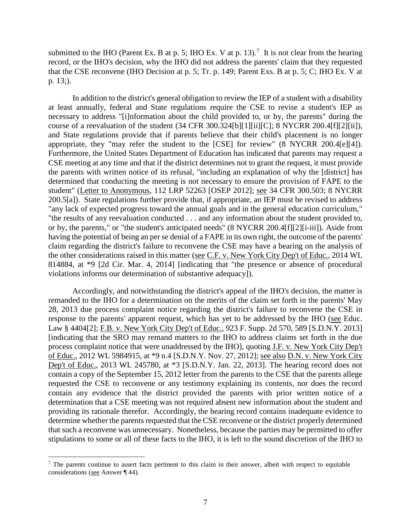submitted to the IHO (Parent Ex. B at p. 5; IHO Ex. V at p. 13).<sup>7</sup> It is not clear from the hearing record, or the IHO's decision, why the IHO did not address the parents' claim that they requested that the CSE reconvene (IHO Decision at p. 5; Tr. p. 149; Parent Exs. B at p. 5; C; IHO Ex. V at p. 13;).

In addition to the district's general obligation to review the IEP of a student with a disability at least annually, federal and State regulations require the CSE to revise a student's IEP as necessary to address "[i]nformation about the child provided to, or by, the parents" during the course of a reevaluation of the student (34 CFR 300.324[b][1][ii][C]; 8 NYCRR 200.4[f][2][ii]), and State regulations provide that if parents believe that their child's placement is no longer appropriate, they "may refer the student to the [CSE] for review" (8 NYCRR 200.4[e][4]). Furthermore, the United States Department of Education has indicated that parents may request a CSE meeting at any time and that if the district determines not to grant the request, it must provide the parents with written notice of its refusal, "including an explanation of why the [district] has determined that conducting the meeting is not necessary to ensure the provision of FAPE to the student" (Letter to Anonymous, 112 LRP 52263 [OSEP 2012]; see 34 CFR 300.503; 8 NYCRR 200.5[a]). State regulations further provide that, if appropriate, an IEP must be revised to address "any lack of expected progress toward the annual goals and in the general education curriculum," "the results of any reevaluation conducted . . . and any information about the student provided to, or by, the parents," or "the student's anticipated needs" (8 NYCRR 200.4[f][2][i-iii]). Aside from having the potential of being an per se denial of a FAPE in its own right, the outcome of the parents' claim regarding the district's failure to reconvene the CSE may have a bearing on the analysis of the other considerations raised in this matter (see C.F. v. New York City Dep't of Educ., 2014 WL 814884, at \*9 [2d Cir. Mar. 4, 2014] [indicating that "the presence or absence of procedural violations informs our determination of substantive adequacy]).

Accordingly, and notwithstanding the district's appeal of the IHO's decision, the matter is remanded to the IHO for a determination on the merits of the claim set forth in the parents' May 28, 2013 due process complaint notice regarding the district's failure to reconvene the CSE in response to the parents' apparent request, which has yet to be addressed by the IHO (see Educ. Law § 4404[2]; F.B. v. New York City Dep't of Educ., 923 F. Supp. 2d 570, 589 [S.D.N.Y. 2013] [indicating that the SRO may remand matters to the IHO to address claims set forth in the due process complaint notice that were unaddressed by the IHO], quoting J.F. v. New York City Dep't of Educ., 2012 WL 5984915, at \*9 n.4 [S.D.N.Y. Nov. 27, 2012]; see also D.N. v. New York City Dep't of Educ., 2013 WL 245780, at \*3 [S.D.N.Y. Jan. 22, 2013]. The hearing record does not contain a copy of the September 15, 2012 letter from the parents to the CSE that the parents allege requested the CSE to reconvene or any testimony explaining its contents, nor does the record contain any evidence that the district provided the parents with prior written notice of a determination that a CSE meeting was not required absent new information about the student and providing its rationale therefor. Accordingly, the hearing record contains inadequate evidence to determine whether the parents requested that the CSE reconvene or the district properly determined that such a reconvene was unnecessary. Nonetheless, because the parties may be permitted to offer stipulations to some or all of these facts to the IHO, it is left to the sound discretion of the IHO to

<sup>&</sup>lt;sup>7</sup> The parents continue to assert facts pertinent to this claim in their answer, albeit with respect to equitable considerations (see Answer ¶ 44).